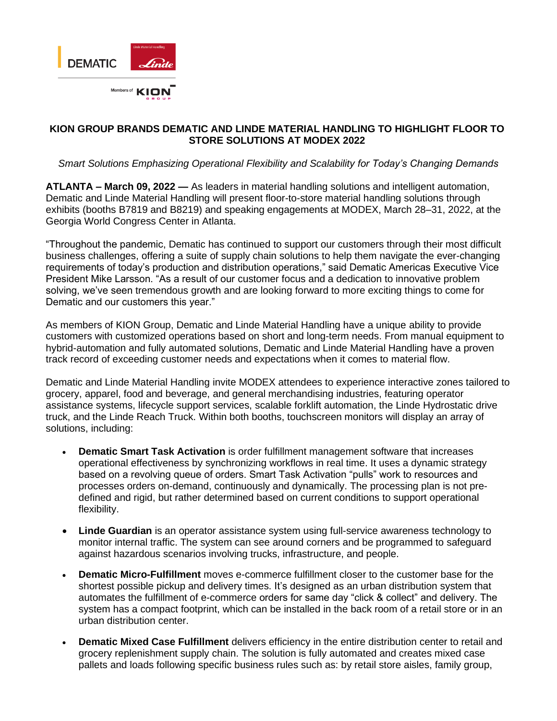

# **KION GROUP BRANDS DEMATIC AND LINDE MATERIAL HANDLING TO HIGHLIGHT FLOOR TO STORE SOLUTIONS AT MODEX 2022**

# *Smart Solutions Emphasizing Operational Flexibility and Scalability for Today's Changing Demands*

**ATLANTA – March 09, 2022 —** As leaders in material handling solutions and intelligent automation, Dematic and Linde Material Handling will present floor-to-store material handling solutions through exhibits (booths B7819 and B8219) and speaking engagements at MODEX, March 28–31, 2022, at the Georgia World Congress Center in Atlanta.

"Throughout the pandemic, Dematic has continued to support our customers through their most difficult business challenges, offering a suite of supply chain solutions to help them navigate the ever-changing requirements of today's production and distribution operations," said Dematic Americas Executive Vice President Mike Larsson. "As a result of our customer focus and a dedication to innovative problem solving, we've seen tremendous growth and are looking forward to more exciting things to come for Dematic and our customers this year."

As members of KION Group, Dematic and Linde Material Handling have a unique ability to provide customers with customized operations based on short and long-term needs. From manual equipment to hybrid-automation and fully automated solutions, Dematic and Linde Material Handling have a proven track record of exceeding customer needs and expectations when it comes to material flow.

Dematic and Linde Material Handling invite MODEX attendees to experience interactive zones tailored to grocery, apparel, food and beverage, and general merchandising industries, featuring operator assistance systems, lifecycle support services, scalable forklift automation, the Linde Hydrostatic drive truck, and the Linde Reach Truck. Within both booths, touchscreen monitors will display an array of solutions, including:

- **Dematic Smart Task Activation** is order fulfillment management software that increases operational effectiveness by synchronizing workflows in real time. It uses a dynamic strategy based on a revolving queue of orders. Smart Task Activation "pulls" work to resources and processes orders on-demand, continuously and dynamically. The processing plan is not predefined and rigid, but rather determined based on current conditions to support operational flexibility.
- **Linde Guardian** is an operator assistance system using full-service awareness technology to monitor internal traffic. The system can see around corners and be programmed to safeguard against hazardous scenarios involving trucks, infrastructure, and people.
- **Dematic Micro-Fulfillment** moves e-commerce fulfillment closer to the customer base for the shortest possible pickup and delivery times. It's designed as an urban distribution system that automates the fulfillment of e-commerce orders for same day "click & collect" and delivery. The system has a compact footprint, which can be installed in the back room of a retail store or in an urban distribution center.
- **Dematic Mixed Case Fulfillment** delivers efficiency in the entire distribution center to retail and grocery replenishment supply chain. The solution is fully automated and creates mixed case pallets and loads following specific business rules such as: by retail store aisles, family group,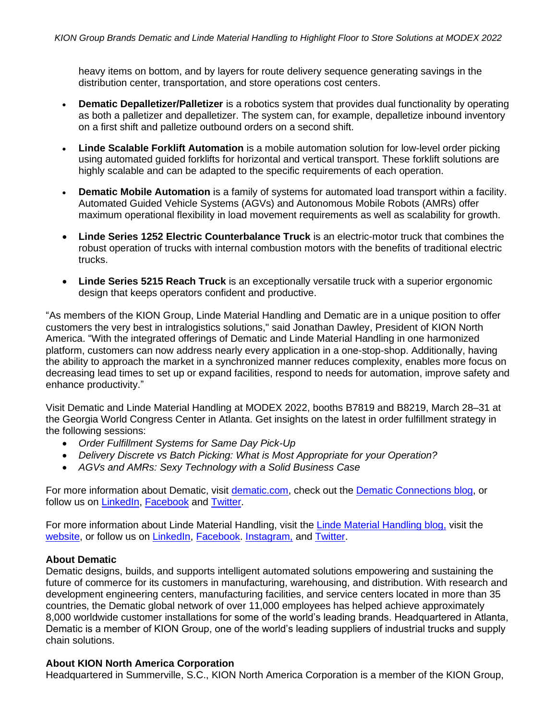heavy items on bottom, and by layers for route delivery sequence generating savings in the distribution center, transportation, and store operations cost centers.

- **Dematic Depalletizer/Palletizer** is a robotics system that provides dual functionality by operating as both a palletizer and depalletizer. The system can, for example, depalletize inbound inventory on a first shift and palletize outbound orders on a second shift.
- **Linde Scalable Forklift Automation** is a mobile automation solution for low-level order picking using automated guided forklifts for horizontal and vertical transport. These forklift solutions are highly scalable and can be adapted to the specific requirements of each operation.
- **Dematic Mobile Automation** is a family of systems for automated load transport within a facility. Automated Guided Vehicle Systems (AGVs) and Autonomous Mobile Robots (AMRs) offer maximum operational flexibility in load movement requirements as well as scalability for growth.
- **Linde Series 1252 Electric Counterbalance Truck** is an electric-motor truck that combines the robust operation of trucks with internal combustion motors with the benefits of traditional electric trucks.
- **Linde Series 5215 Reach Truck** is an exceptionally versatile truck with a superior ergonomic design that keeps operators confident and productive.

"As members of the KION Group, Linde Material Handling and Dematic are in a unique position to offer customers the very best in intralogistics solutions," said Jonathan Dawley, President of KION North America. "With the integrated offerings of Dematic and Linde Material Handling in one harmonized platform, customers can now address nearly every application in a one-stop-shop. Additionally, having the ability to approach the market in a synchronized manner reduces complexity, enables more focus on decreasing lead times to set up or expand facilities, respond to needs for automation, improve safety and enhance productivity."

Visit Dematic and Linde Material Handling at MODEX 2022, booths B7819 and B8219, March 28–31 at the Georgia World Congress Center in Atlanta. Get insights on the latest in order fulfillment strategy in the following sessions:

- *Order Fulfillment Systems for Same Day Pick-Up*
- *Delivery Discrete vs Batch Picking: What is Most Appropriate for your Operation?*
- *AGVs and AMRs: Sexy Technology with a Solid Business Case*

For more information about Dematic, visit [dematic.com,](https://www.dematic.com/) check out the [Dematic Connections blog,](https://blog.dematic.com/en-us/) or follow us on [LinkedIn,](https://www.linkedin.com/company/dematic/mycompany/) [Facebook](https://www.facebook.com/DematicGlobal/) and [Twitter.](https://twitter.com/DematicGlobal/)

For more information about Linde Material Handling, visit the [Linde Material Handling blog,](https://blog.kion-na.com/?_ga=2.69278484.507014879.1644507487-1896985786.1619104651) visit the [website,](https://www.kion-na.com/) or follow us on [LinkedIn,](https://www.linkedin.com/company/kion-north-america/) [Facebook.](https://www.facebook.com/KIONNorthAmerica/) [Instagram,](https://www.instagram.com/kionnorthamerica/) and [Twitter.](https://twitter.com/KION_NA)

#### **About Dematic**

Dematic designs, builds, and supports intelligent automated solutions empowering and sustaining the future of commerce for its customers in manufacturing, warehousing, and distribution. With research and development engineering centers, manufacturing facilities, and service centers located in more than 35 countries, the Dematic global network of over 11,000 employees has helped achieve approximately 8,000 worldwide customer installations for some of the world's leading brands. Headquartered in Atlanta, Dematic is a member of KION Group, one of the world's leading suppliers of industrial trucks and supply chain solutions.

## **About KION North America Corporation**

Headquartered in Summerville, S.C., KION North America Corporation is a member of the KION Group,